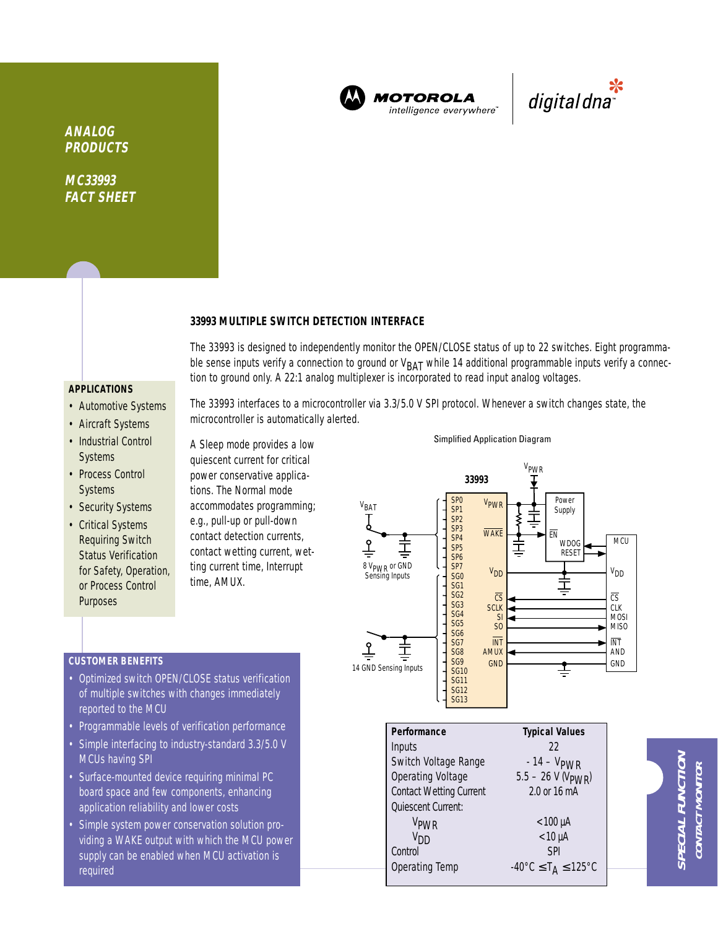

**MOTOROLA** intelligence everywhere<sup>®</sup>

\*<br>"digital dna

**ANALOG PRODUCTS**

**MC33993 FACT SHEET**

## **33993 MULTIPLE SWITCH DETECTION INTERFACE**

The 33993 is designed to independently monitor the OPEN/CLOSE status of up to 22 switches. Eight programmable sense inputs verify a connection to ground or  $V_{BAT}$  while 14 additional programmable inputs verify a connection to ground only. A 22:1 analog multiplexer is incorporated to read input analog voltages.

The 33993 interfaces to a microcontroller via 3.3/5.0 V SPI protocol. Whenever a switch changes state, the

# **APPLICATIONS**

- Automotive Systems
- Aircraft Systems
- Industrial Control **Systems**
- Process Control Systems
- Security Systems
- Critical Systems Requiring Switch Status Verification for Safety, Operation, or Process Control **Purposes**

A Sleep mode provides a low quiescent current for critical power conservative applications. The Normal mode accommodates programming; e.g., pull-up or pull-down contact detection currents, contact wetting current, wetting current time, Interrupt time, AMUX.

microcontroller is automatically alerted.

OSE status verification

#### Simplified Application Diagram



|  |  | • Optimized switch OPEN/CL |
|--|--|----------------------------|
|  |  |                            |

**CUSTOMER BENEFITS**

- of multiple switches with changes immediately reported to the MCU
- Programmable levels of verification performance
- Simple interfacing to industry-standard 3.3/5.0 V MCUs having SPI
- Surface-mounted device requiring minimal PC board space and few components, enhancing application reliability and lower costs
- Simple system power conservation solution providing a WAKE output with which the MCU power supply can be enabled when MCU activation is required

| Performance                    | <b>Typical Values</b>                                         |
|--------------------------------|---------------------------------------------------------------|
| Inputs                         | 22                                                            |
| Switch Voltage Range           | $-14 - VPWR$                                                  |
| <b>Operating Voltage</b>       | $5.5 - 26$ V (V <sub>PWR</sub> )                              |
| <b>Contact Wetting Current</b> | 2.0 or 16 mA                                                  |
| Quiescent Current:             |                                                               |
| V <sub>PWR</sub>               | $< 100 \mu A$                                                 |
| V <sub>DD</sub>                | $< 10 \mu A$                                                  |
| Control                        | <b>SPI</b>                                                    |
| <b>Operating Temp</b>          | $-40^{\circ}$ C $\leq$ T <sub>A</sub> $\leq$ 125 $^{\circ}$ C |

**SPECIAL FUNCTION** PECIAL FUNCTIOI **CONTACT MONITOR** CONTACT MONITOR